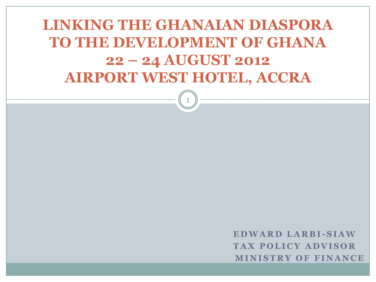#### **LINKING THE GHANAIAN DIASPORA TO THE DEVELOPMENT OF GHANA 22 – 24 AUGUST 2012 AIRPORT WEST HOTEL, ACCRA**

1

**E D W A R D L A R B I -S I A W TAX POLICY ADVISOR M I N I S T R Y O F F I N A N C E**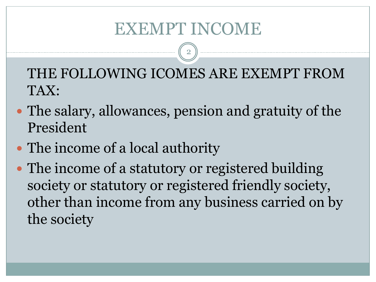## EXEMPT INCOME

2

THE FOLLOWING ICOMES ARE EXEMPT FROM TAX:

- The salary, allowances, pension and gratuity of the President
- The income of a local authority
- The income of a statutory or registered building society or statutory or registered friendly society, other than income from any business carried on by the society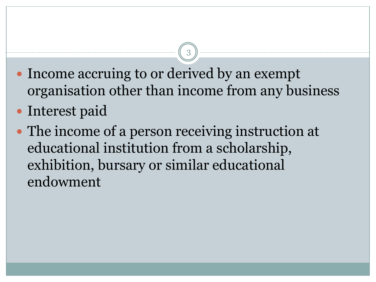• Income accruing to or derived by an exempt organisation other than income from any business

- Interest paid
- The income of a person receiving instruction at educational institution from a scholarship, exhibition, bursary or similar educational endowment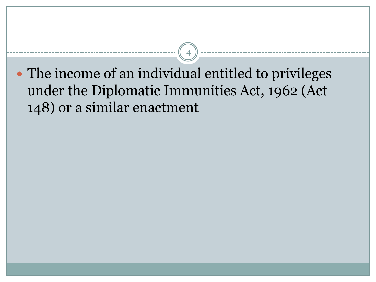The income of an individual entitled to privileges under the Diplomatic Immunities Act, 1962 (Act 148) or a similar enactment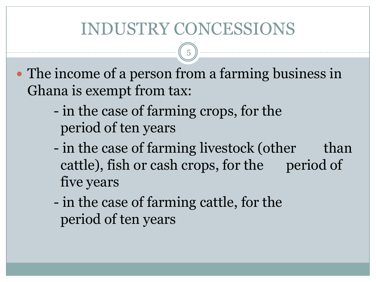# INDUSTRY CONCESSIONS

- The income of a person from a farming business in Ghana is exempt from tax:
	- in the case of farming crops, for the period of ten years
	- in the case of farming livestock (other than cattle), fish or cash crops, for the period of five years
	- in the case of farming cattle, for the period of ten years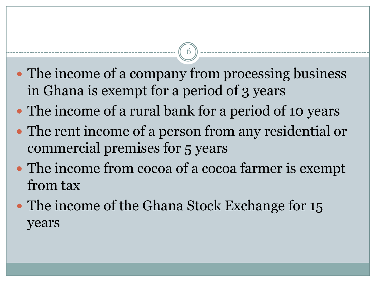• The income of a company from processing business in Ghana is exempt for a period of 3 years

- The income of a rural bank for a period of 10 years
- The rent income of a person from any residential or commercial premises for 5 years
- The income from cocoa of a cocoa farmer is exempt from tax
- The income of the Ghana Stock Exchange for 15 years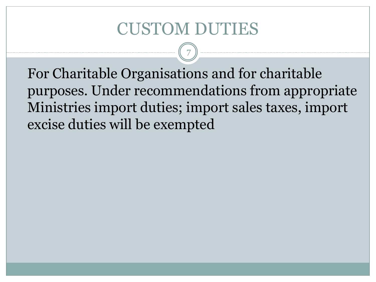#### CUSTOM DUTIES

7

For Charitable Organisations and for charitable purposes. Under recommendations from appropriate Ministries import duties; import sales taxes, import excise duties will be exempted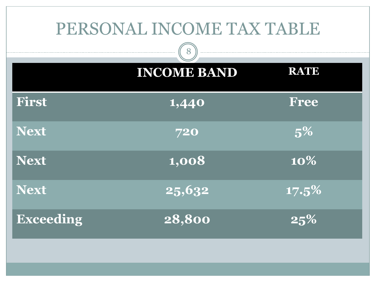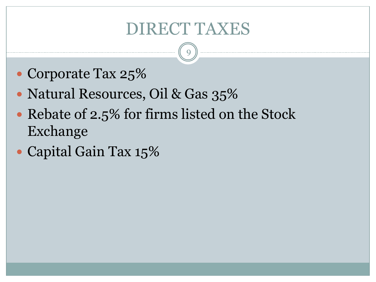## DIRECT TAXES

- Corporate Tax 25%
- Natural Resources, Oil & Gas 35%
- Rebate of 2.5% for firms listed on the Stock Exchange
- Capital Gain Tax 15%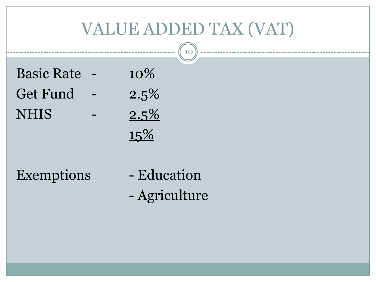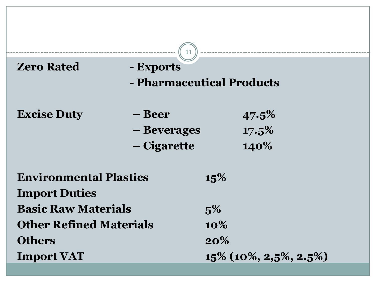| <b>Zero Rated</b>                                  | 11<br>- Exports<br>- Pharmaceutical Products |                          |                |
|----------------------------------------------------|----------------------------------------------|--------------------------|----------------|
| <b>Excise Duty</b>                                 | – Beer<br>- Beverages                        |                          | 47.5%<br>17.5% |
|                                                    | – Cigarette                                  |                          | 140%           |
| <b>Environmental Plastics</b>                      |                                              | 15%                      |                |
| <b>Import Duties</b><br><b>Basic Raw Materials</b> |                                              | 5%                       |                |
| <b>Other Refined Materials</b><br><b>Others</b>    |                                              | $10\%$<br>20%            |                |
| <b>Import VAT</b>                                  |                                              | $15\%$ (10%, 2,5%, 2.5%) |                |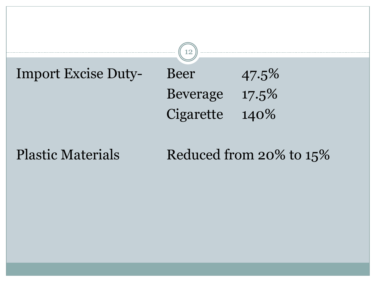



#### Plastic Materials Reduced from 20% to 15%